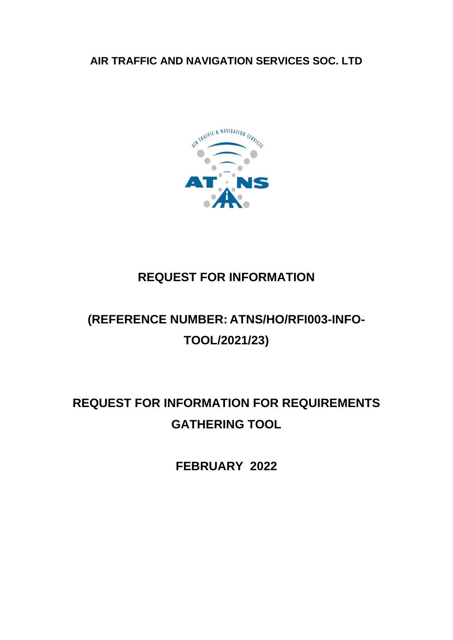**AIR TRAFFIC AND NAVIGATION SERVICES SOC. LTD**



## **REQUEST FOR INFORMATION**

# **(REFERENCE NUMBER: ATNS/HO/RFI003-INFO-TOOL/2021/23)**

# **REQUEST FOR INFORMATION FOR REQUIREMENTS GATHERING TOOL**

**FEBRUARY 2022**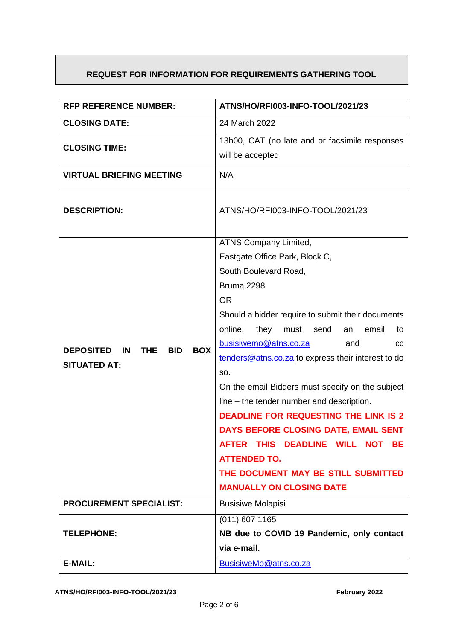## **REQUEST FOR INFORMATION FOR REQUIREMENTS GATHERING TOOL**

| <b>RFP REFERENCE NUMBER:</b>                                     | ATNS/HO/RFI003-INFO-TOOL/2021/23                                       |
|------------------------------------------------------------------|------------------------------------------------------------------------|
| <b>CLOSING DATE:</b>                                             | 24 March 2022                                                          |
| <b>CLOSING TIME:</b>                                             | 13h00, CAT (no late and or facsimile responses                         |
|                                                                  | will be accepted                                                       |
| <b>VIRTUAL BRIEFING MEETING</b>                                  | N/A                                                                    |
| <b>DESCRIPTION:</b>                                              | ATNS/HO/RFI003-INFO-TOOL/2021/23                                       |
|                                                                  | ATNS Company Limited,                                                  |
|                                                                  | Eastgate Office Park, Block C,                                         |
|                                                                  | South Boulevard Road,                                                  |
|                                                                  | <b>Bruma, 2298</b>                                                     |
|                                                                  | <b>OR</b>                                                              |
|                                                                  | Should a bidder require to submit their documents                      |
|                                                                  | online,<br>they<br>must<br>send<br>email<br>an<br>to                   |
| <b>BOX</b><br><b>DEPOSITED</b><br>IN<br><b>THE</b><br><b>BID</b> | busisiwemo@atns.co.za<br>and<br>CС                                     |
| <b>SITUATED AT:</b>                                              | tenders@atns.co.za to express their interest to do                     |
|                                                                  | SO.                                                                    |
|                                                                  | On the email Bidders must specify on the subject                       |
|                                                                  | line – the tender number and description.                              |
|                                                                  | <b>DEADLINE FOR REQUESTING THE LINK IS 2</b>                           |
|                                                                  | DAYS BEFORE CLOSING DATE, EMAIL SENT                                   |
|                                                                  | AFTER THIS DEADLINE WILL NOT BE                                        |
|                                                                  | <b>ATTENDED TO.</b>                                                    |
|                                                                  | THE DOCUMENT MAY BE STILL SUBMITTED<br><b>MANUALLY ON CLOSING DATE</b> |
|                                                                  |                                                                        |
| <b>PROCUREMENT SPECIALIST:</b>                                   | <b>Busisiwe Molapisi</b>                                               |
|                                                                  | (011) 607 1165                                                         |
| <b>TELEPHONE:</b>                                                | NB due to COVID 19 Pandemic, only contact                              |
|                                                                  | via e-mail.                                                            |
| E-MAIL:                                                          | BusisiweMo@atns.co.za                                                  |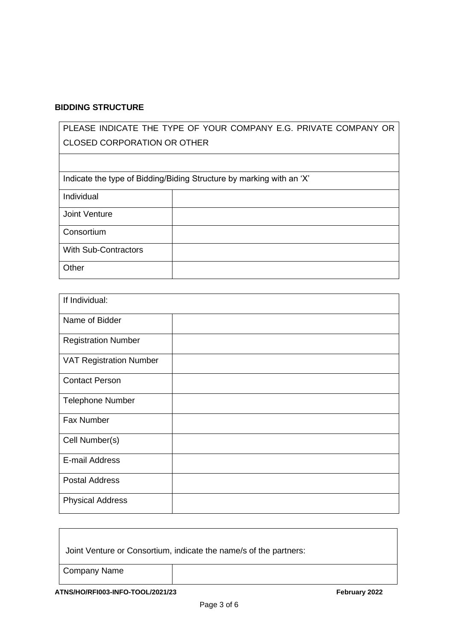#### **BIDDING STRUCTURE**

| PLEASE INDICATE THE TYPE OF YOUR COMPANY E.G. PRIVATE COMPANY OR |                                                                      |
|------------------------------------------------------------------|----------------------------------------------------------------------|
| <b>CLOSED CORPORATION OR OTHER</b>                               |                                                                      |
|                                                                  |                                                                      |
|                                                                  |                                                                      |
|                                                                  | Indicate the type of Bidding/Biding Structure by marking with an 'X' |
| Individual                                                       |                                                                      |
| Joint Venture                                                    |                                                                      |
|                                                                  |                                                                      |
| Consortium                                                       |                                                                      |
| <b>With Sub-Contractors</b>                                      |                                                                      |
|                                                                  |                                                                      |
| Other                                                            |                                                                      |
|                                                                  |                                                                      |

| If Individual:                 |  |
|--------------------------------|--|
| Name of Bidder                 |  |
| <b>Registration Number</b>     |  |
| <b>VAT Registration Number</b> |  |
| <b>Contact Person</b>          |  |
| <b>Telephone Number</b>        |  |
| Fax Number                     |  |
| Cell Number(s)                 |  |
| E-mail Address                 |  |
| <b>Postal Address</b>          |  |
| <b>Physical Address</b>        |  |

## Joint Venture or Consortium, indicate the name/s of the partners:

Company Name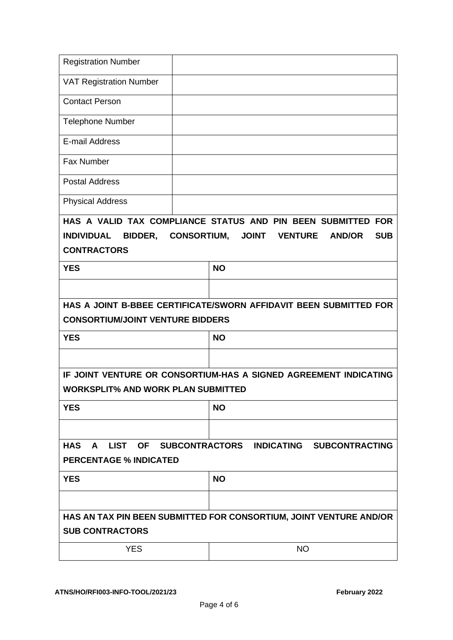| <b>Registration Number</b>                                         |                                                                       |            |
|--------------------------------------------------------------------|-----------------------------------------------------------------------|------------|
| <b>VAT Registration Number</b>                                     |                                                                       |            |
| <b>Contact Person</b>                                              |                                                                       |            |
| <b>Telephone Number</b>                                            |                                                                       |            |
| E-mail Address                                                     |                                                                       |            |
| Fax Number                                                         |                                                                       |            |
| <b>Postal Address</b>                                              |                                                                       |            |
| <b>Physical Address</b>                                            |                                                                       |            |
|                                                                    | HAS A VALID TAX COMPLIANCE STATUS AND PIN BEEN SUBMITTED FOR          |            |
| <b>INDIVIDUAL</b><br><b>BIDDER,</b>                                | <b>CONSORTIUM,</b><br><b>JOINT</b><br><b>VENTURE</b><br><b>AND/OR</b> | <b>SUB</b> |
| <b>CONTRACTORS</b>                                                 |                                                                       |            |
| <b>YES</b>                                                         | <b>NO</b>                                                             |            |
|                                                                    |                                                                       |            |
|                                                                    | HAS A JOINT B-BBEE CERTIFICATE/SWORN AFFIDAVIT BEEN SUBMITTED FOR     |            |
| <b>CONSORTIUM/JOINT VENTURE BIDDERS</b>                            |                                                                       |            |
| <b>YES</b>                                                         | <b>NO</b>                                                             |            |
|                                                                    |                                                                       |            |
|                                                                    | IF JOINT VENTURE OR CONSORTIUM-HAS A SIGNED AGREEMENT INDICATING      |            |
| <b>WORKSPLIT% AND WORK PLAN SUBMITTED</b>                          |                                                                       |            |
| <b>YES</b>                                                         | <b>NO</b>                                                             |            |
|                                                                    |                                                                       |            |
| <b>HAS</b><br>A                                                    | LIST OF SUBCONTRACTORS INDICATING SUBCONTRACTING                      |            |
| <b>PERCENTAGE % INDICATED</b>                                      |                                                                       |            |
| <b>YES</b>                                                         | <b>NO</b>                                                             |            |
|                                                                    |                                                                       |            |
| HAS AN TAX PIN BEEN SUBMITTED FOR CONSORTIUM, JOINT VENTURE AND/OR |                                                                       |            |
| <b>SUB CONTRACTORS</b>                                             |                                                                       |            |
| <b>YES</b>                                                         | <b>NO</b>                                                             |            |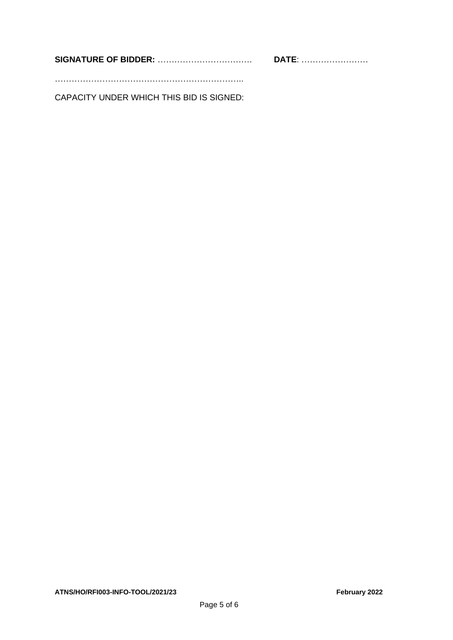**SIGNATURE OF BIDDER:** ……………………………. **DATE**: ……………………

…………………………………………………………..

CAPACITY UNDER WHICH THIS BID IS SIGNED: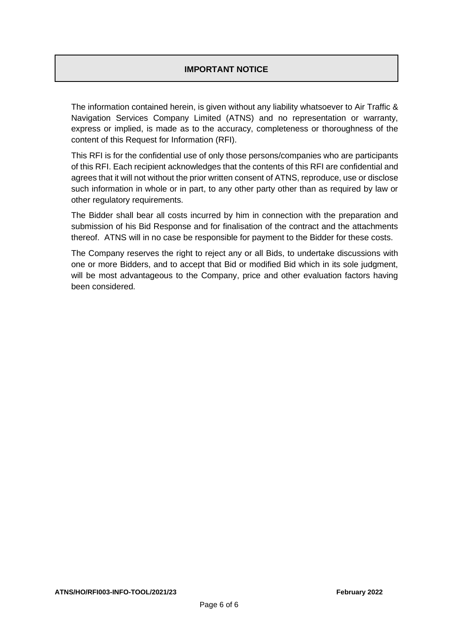### **IMPORTANT NOTICE**

The information contained herein, is given without any liability whatsoever to Air Traffic & Navigation Services Company Limited (ATNS) and no representation or warranty, express or implied, is made as to the accuracy, completeness or thoroughness of the content of this Request for Information (RFI).

This RFI is for the confidential use of only those persons/companies who are participants of this RFI. Each recipient acknowledges that the contents of this RFI are confidential and agrees that it will not without the prior written consent of ATNS, reproduce, use or disclose such information in whole or in part, to any other party other than as required by law or other regulatory requirements.

The Bidder shall bear all costs incurred by him in connection with the preparation and submission of his Bid Response and for finalisation of the contract and the attachments thereof. ATNS will in no case be responsible for payment to the Bidder for these costs.

The Company reserves the right to reject any or all Bids, to undertake discussions with one or more Bidders, and to accept that Bid or modified Bid which in its sole judgment, will be most advantageous to the Company, price and other evaluation factors having been considered.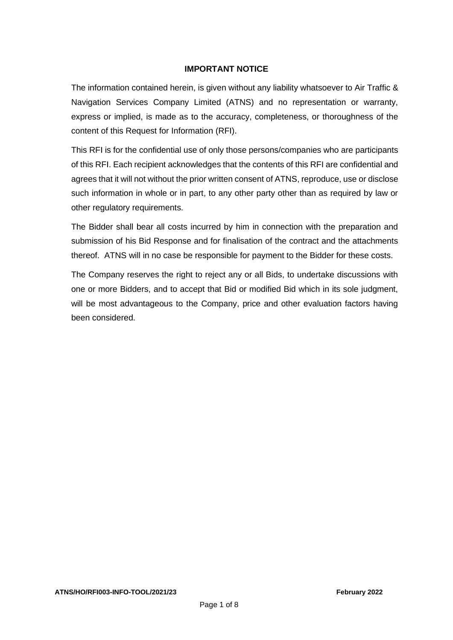#### **IMPORTANT NOTICE**

The information contained herein, is given without any liability whatsoever to Air Traffic & Navigation Services Company Limited (ATNS) and no representation or warranty, express or implied, is made as to the accuracy, completeness, or thoroughness of the content of this Request for Information (RFI).

This RFI is for the confidential use of only those persons/companies who are participants of this RFI. Each recipient acknowledges that the contents of this RFI are confidential and agrees that it will not without the prior written consent of ATNS, reproduce, use or disclose such information in whole or in part, to any other party other than as required by law or other regulatory requirements.

The Bidder shall bear all costs incurred by him in connection with the preparation and submission of his Bid Response and for finalisation of the contract and the attachments thereof. ATNS will in no case be responsible for payment to the Bidder for these costs.

The Company reserves the right to reject any or all Bids, to undertake discussions with one or more Bidders, and to accept that Bid or modified Bid which in its sole judgment, will be most advantageous to the Company, price and other evaluation factors having been considered.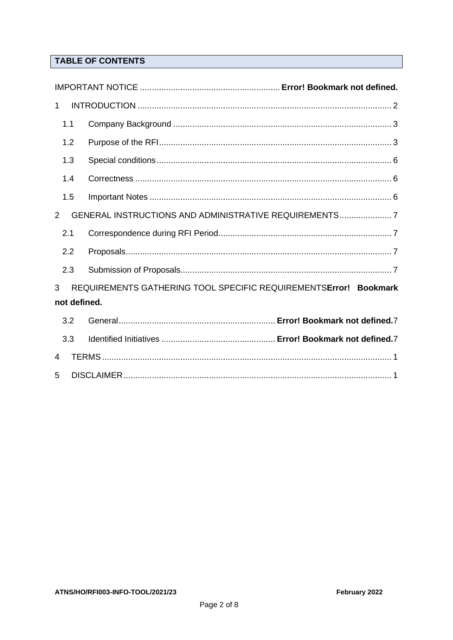## **TABLE OF CONTENTS**

<span id="page-7-0"></span>

| $\mathbf{1}$ |                                                                  |
|--------------|------------------------------------------------------------------|
| 1.1          |                                                                  |
| 1.2          |                                                                  |
| 1.3          |                                                                  |
| 1.4          |                                                                  |
| 1.5          |                                                                  |
| 2            | GENERAL INSTRUCTIONS AND ADMINISTRATIVE REQUIREMENTS7            |
| 2.1          |                                                                  |
| 2.2          |                                                                  |
| 2.3          |                                                                  |
| 3            | REQUIREMENTS GATHERING TOOL SPECIFIC REQUIREMENTSError! Bookmark |
|              | not defined.                                                     |
| 3.2          |                                                                  |
| 3.3          |                                                                  |
| 4            |                                                                  |
| 5            |                                                                  |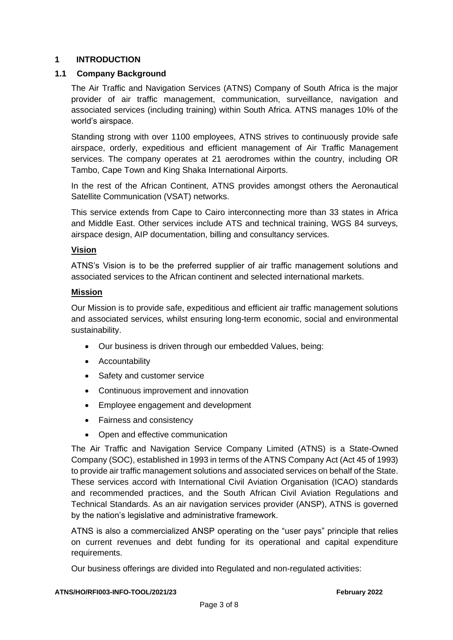#### <span id="page-8-1"></span>**1 INTRODUCTION**

#### <span id="page-8-0"></span>**1.1 Company Background**

The Air Traffic and Navigation Services (ATNS) Company of South Africa is the major provider of air traffic management, communication, surveillance, navigation and associated services (including training) within South Africa. ATNS manages 10% of the world's airspace.

Standing strong with over 1100 employees, ATNS strives to continuously provide safe airspace, orderly, expeditious and efficient management of Air Traffic Management services. The company operates at 21 aerodromes within the country, including OR Tambo, Cape Town and King Shaka International Airports.

In the rest of the African Continent, ATNS provides amongst others the Aeronautical Satellite Communication (VSAT) networks.

This service extends from Cape to Cairo interconnecting more than 33 states in Africa and Middle East. Other services include ATS and technical training, WGS 84 surveys, airspace design, AIP documentation, billing and consultancy services.

#### **Vision**

ATNS's Vision is to be the preferred supplier of air traffic management solutions and associated services to the African continent and selected international markets.

#### **Mission**

Our Mission is to provide safe, expeditious and efficient air traffic management solutions and associated services, whilst ensuring long-term economic, social and environmental sustainability.

- Our business is driven through our embedded Values, being:
- Accountability
- Safety and customer service
- Continuous improvement and innovation
- Employee engagement and development
- Fairness and consistency
- Open and effective communication

The Air Traffic and Navigation Service Company Limited (ATNS) is a State-Owned Company (SOC), established in 1993 in terms of the ATNS Company Act (Act 45 of 1993) to provide air traffic management solutions and associated services on behalf of the State. These services accord with International Civil Aviation Organisation (ICAO) standards and recommended practices, and the South African Civil Aviation Regulations and Technical Standards. As an air navigation services provider (ANSP), ATNS is governed by the nation's legislative and administrative framework.

ATNS is also a commercialized ANSP operating on the "user pays" principle that relies on current revenues and debt funding for its operational and capital expenditure requirements.

Our business offerings are divided into Regulated and non-regulated activities: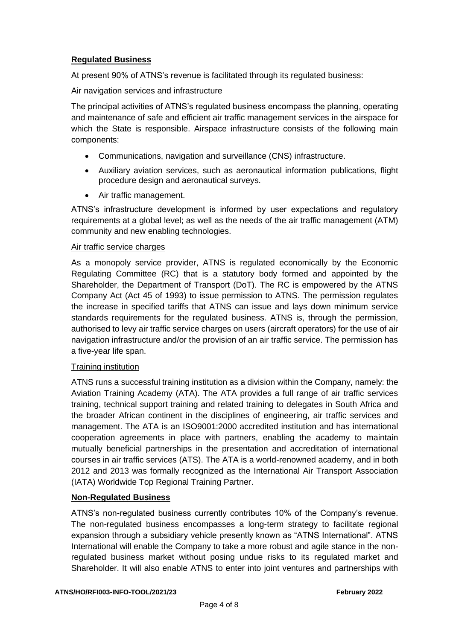#### **Regulated Business**

At present 90% of ATNS's revenue is facilitated through its regulated business:

#### Air navigation services and infrastructure

The principal activities of ATNS's regulated business encompass the planning, operating and maintenance of safe and efficient air traffic management services in the airspace for which the State is responsible. Airspace infrastructure consists of the following main components:

- Communications, navigation and surveillance (CNS) infrastructure.
- Auxiliary aviation services, such as aeronautical information publications, flight procedure design and aeronautical surveys.
- Air traffic management.

ATNS's infrastructure development is informed by user expectations and regulatory requirements at a global level; as well as the needs of the air traffic management (ATM) community and new enabling technologies.

#### Air traffic service charges

As a monopoly service provider, ATNS is regulated economically by the Economic Regulating Committee (RC) that is a statutory body formed and appointed by the Shareholder, the Department of Transport (DoT). The RC is empowered by the ATNS Company Act (Act 45 of 1993) to issue permission to ATNS. The permission regulates the increase in specified tariffs that ATNS can issue and lays down minimum service standards requirements for the regulated business. ATNS is, through the permission, authorised to levy air traffic service charges on users (aircraft operators) for the use of air navigation infrastructure and/or the provision of an air traffic service. The permission has a five-year life span.

#### **Training institution**

ATNS runs a successful training institution as a division within the Company, namely: the Aviation Training Academy (ATA). The ATA provides a full range of air traffic services training, technical support training and related training to delegates in South Africa and the broader African continent in the disciplines of engineering, air traffic services and management. The ATA is an ISO9001:2000 accredited institution and has international cooperation agreements in place with partners, enabling the academy to maintain mutually beneficial partnerships in the presentation and accreditation of international courses in air traffic services (ATS). The ATA is a world-renowned academy, and in both 2012 and 2013 was formally recognized as the International Air Transport Association (IATA) Worldwide Top Regional Training Partner.

#### **Non-Regulated Business**

ATNS's non-regulated business currently contributes 10% of the Company's revenue. The non-regulated business encompasses a long-term strategy to facilitate regional expansion through a subsidiary vehicle presently known as "ATNS International". ATNS International will enable the Company to take a more robust and agile stance in the nonregulated business market without posing undue risks to its regulated market and Shareholder. It will also enable ATNS to enter into joint ventures and partnerships with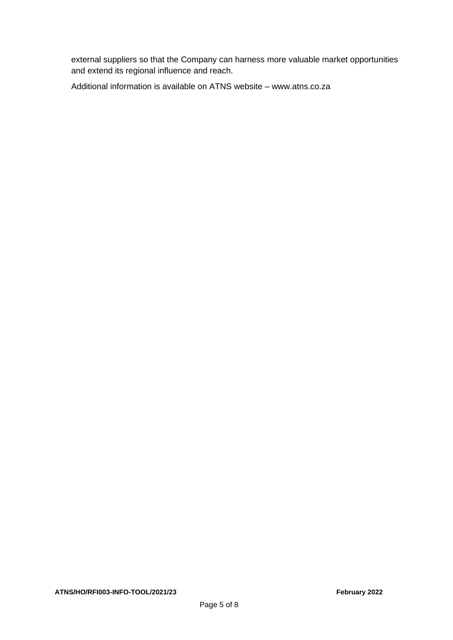external suppliers so that the Company can harness more valuable market opportunities and extend its regional influence and reach.

Additional information is available on ATNS website – [www.atns.co.za](http://www.atns.co.za/)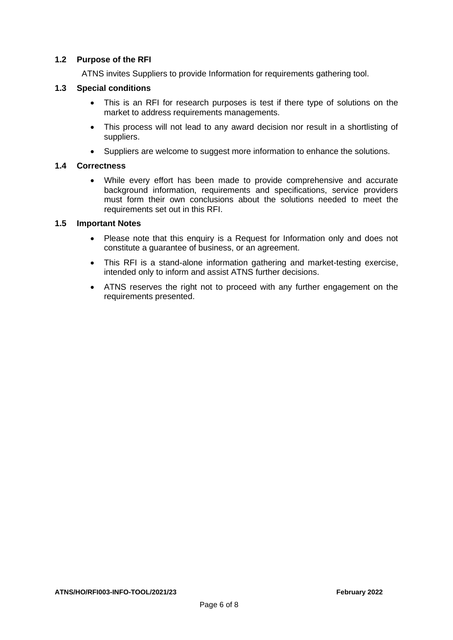#### **1.2 Purpose of the RFI**

ATNS invites Suppliers to provide Information for requirements gathering tool.

#### <span id="page-11-0"></span>**1.3 Special conditions**

- This is an RFI for research purposes is test if there type of solutions on the market to address requirements managements.
- This process will not lead to any award decision nor result in a shortlisting of suppliers.
- Suppliers are welcome to suggest more information to enhance the solutions.

#### <span id="page-11-1"></span>**1.4 Correctness**

• While every effort has been made to provide comprehensive and accurate background information, requirements and specifications, service providers must form their own conclusions about the solutions needed to meet the requirements set out in this RFI.

#### <span id="page-11-2"></span>**1.5 Important Notes**

- Please note that this enquiry is a Request for Information only and does not constitute a guarantee of business, or an agreement.
- This RFI is a stand-alone information gathering and market-testing exercise, intended only to inform and assist ATNS further decisions.
- ATNS reserves the right not to proceed with any further engagement on the requirements presented.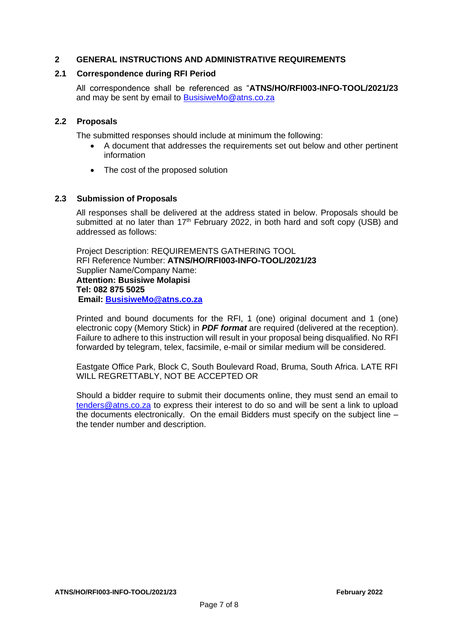#### <span id="page-12-0"></span>**2 GENERAL INSTRUCTIONS AND ADMINISTRATIVE REQUIREMENTS**

#### <span id="page-12-1"></span>**2.1 Correspondence during RFI Period**

All correspondence shall be referenced as "**ATNS/HO/RFI003-INFO-TOOL/2021/23**  and may be sent by email to [BusisiweMo@atns.co.za](mailto:BusisiweMo@atns.co.za)

#### <span id="page-12-2"></span>**2.2 Proposals**

The submitted responses should include at minimum the following:

- A document that addresses the requirements set out below and other pertinent information
- The cost of the proposed solution

#### <span id="page-12-3"></span>**2.3 Submission of Proposals**

All responses shall be delivered at the address stated in below. Proposals should be submitted at no later than  $17<sup>th</sup>$  February 2022, in both hard and soft copy (USB) and addressed as follows:

Project Description: REQUIREMENTS GATHERING TOOL RFI Reference Number: **ATNS/HO/RFI003-INFO-TOOL/2021/23**  Supplier Name/Company Name: **Attention: Busisiwe Molapisi Tel: 082 875 5025 Email: [BusisiweMo@atns.co.za](mailto:BusisiweMo@atns.co.za)**

Printed and bound documents for the RFI, 1 (one) original document and 1 (one) electronic copy (Memory Stick) in *PDF format* are required (delivered at the reception). Failure to adhere to this instruction will result in your proposal being disqualified. No RFI forwarded by telegram, telex, facsimile, e-mail or similar medium will be considered.

Eastgate Office Park, Block C, South Boulevard Road, Bruma, South Africa. LATE RFI WILL REGRETTABLY, NOT BE ACCEPTED OR

Should a bidder require to submit their documents online, they must send an email to [tenders@atns.co.za](mailto:tenders@atns.co.za) to express their interest to do so and will be sent a link to upload the documents electronically. On the email Bidders must specify on the subject line – the tender number and description.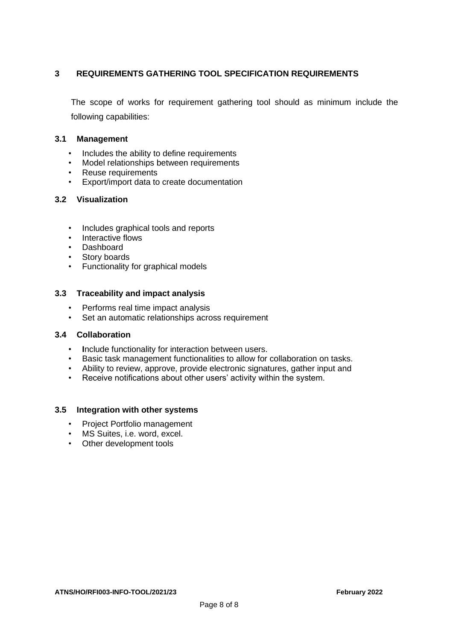#### **3 REQUIREMENTS GATHERING TOOL SPECIFICATION REQUIREMENTS**

The scope of works for requirement gathering tool should as minimum include the following capabilities:

#### **3.1 Management**

- Includes the ability to define requirements
- Model relationships between requirements
- Reuse requirements
- Export/import data to create documentation

#### **3.2 Visualization**

- Includes graphical tools and reports
- Interactive flows
- Dashboard
- Story boards
- Functionality for graphical models

#### **3.3 Traceability and impact analysis**

- Performs real time impact analysis
- Set an automatic relationships across requirement

#### **3.4 Collaboration**

- **I**nclude functionality for interaction between users.
- Basic task management functionalities to allow for collaboration on tasks.
- Ability to review, approve, provide electronic signatures, gather input and
- Receive notifications about other users' activity within the system.

#### **3.5 Integration with other systems**

- Project Portfolio management
- MS Suites, i.e. word, excel.
- Other development tools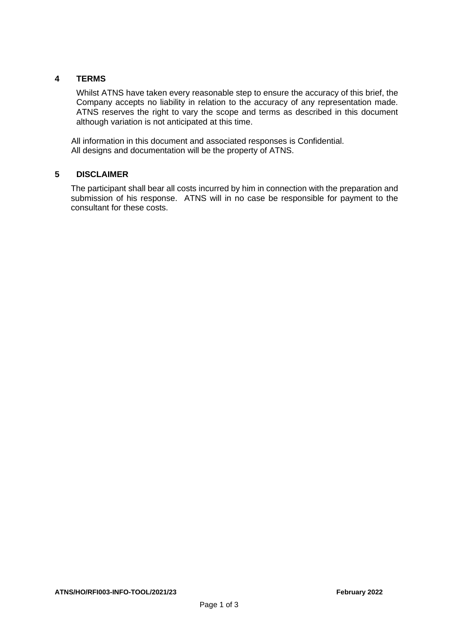#### <span id="page-14-0"></span>**4 TERMS**

Whilst ATNS have taken every reasonable step to ensure the accuracy of this brief, the Company accepts no liability in relation to the accuracy of any representation made. ATNS reserves the right to vary the scope and terms as described in this document although variation is not anticipated at this time.

All information in this document and associated responses is Confidential. All designs and documentation will be the property of ATNS.

#### <span id="page-14-1"></span>**5 DISCLAIMER**

The participant shall bear all costs incurred by him in connection with the preparation and submission of his response. ATNS will in no case be responsible for payment to the consultant for these costs.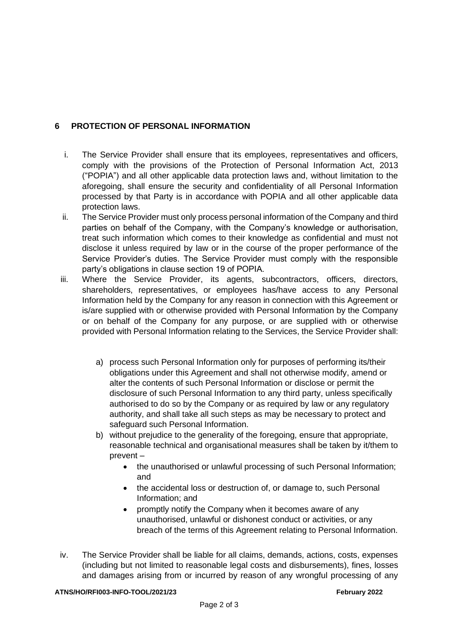## **6 PROTECTION OF PERSONAL INFORMATION**

- i. The Service Provider shall ensure that its employees, representatives and officers, comply with the provisions of the Protection of Personal Information Act, 2013 ("POPIA") and all other applicable data protection laws and, without limitation to the aforegoing, shall ensure the security and confidentiality of all Personal Information processed by that Party is in accordance with POPIA and all other applicable data protection laws.
- ii. The Service Provider must only process personal information of the Company and third parties on behalf of the Company, with the Company's knowledge or authorisation, treat such information which comes to their knowledge as confidential and must not disclose it unless required by law or in the course of the proper performance of the Service Provider's duties. The Service Provider must comply with the responsible party's obligations in clause section 19 of POPIA.
- iii. Where the Service Provider, its agents, subcontractors, officers, directors, shareholders, representatives, or employees has/have access to any Personal Information held by the Company for any reason in connection with this Agreement or is/are supplied with or otherwise provided with Personal Information by the Company or on behalf of the Company for any purpose, or are supplied with or otherwise provided with Personal Information relating to the Services, the Service Provider shall:
	- a) process such Personal Information only for purposes of performing its/their obligations under this Agreement and shall not otherwise modify, amend or alter the contents of such Personal Information or disclose or permit the disclosure of such Personal Information to any third party, unless specifically authorised to do so by the Company or as required by law or any regulatory authority, and shall take all such steps as may be necessary to protect and safeguard such Personal Information.
	- b) without prejudice to the generality of the foregoing, ensure that appropriate, reasonable technical and organisational measures shall be taken by it/them to prevent –
		- the unauthorised or unlawful processing of such Personal Information; and
		- the accidental loss or destruction of, or damage to, such Personal Information; and
		- promptly notify the Company when it becomes aware of any unauthorised, unlawful or dishonest conduct or activities, or any breach of the terms of this Agreement relating to Personal Information.
- iv. The Service Provider shall be liable for all claims, demands, actions, costs, expenses (including but not limited to reasonable legal costs and disbursements), fines, losses and damages arising from or incurred by reason of any wrongful processing of any